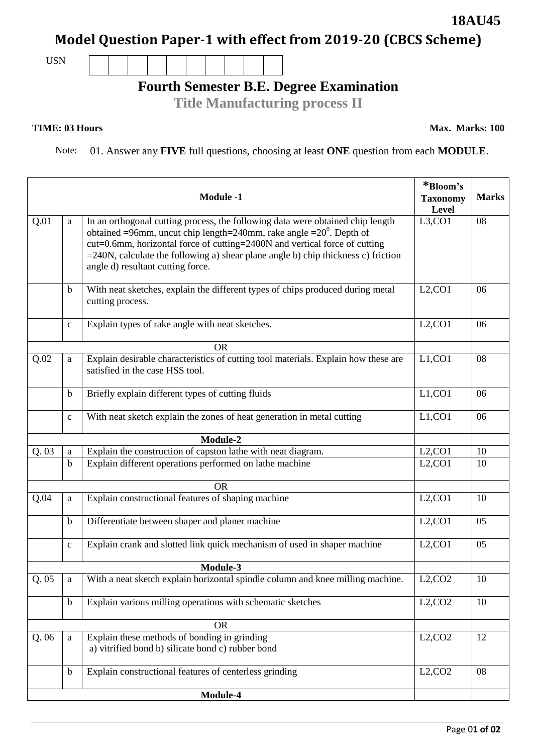## **Model Question Paper-1 with effect from 2019-20 (CBCS Scheme)**

USN

## **Fourth Semester B.E. Degree Examination**

**Title Manufacturing process II**

## **TIME: 03 Hours** Max. Marks: 100

Note: 01. Answer any **FIVE** full questions, choosing at least **ONE** question from each **MODULE**.

|      |              | <b>Module -1</b>                                                                                                                                                                                                                                                                                                                                                           | *Bloom's<br><b>Taxonomy</b><br>Level | <b>Marks</b> |
|------|--------------|----------------------------------------------------------------------------------------------------------------------------------------------------------------------------------------------------------------------------------------------------------------------------------------------------------------------------------------------------------------------------|--------------------------------------|--------------|
| Q.01 | a            | In an orthogonal cutting process, the following data were obtained chip length<br>obtained =96mm, uncut chip length=240mm, rake angle = $20^{\circ}$ . Depth of<br>cut=0.6mm, horizontal force of cutting=2400N and vertical force of cutting<br>$=$ 240N, calculate the following a) shear plane angle b) chip thickness c) friction<br>angle d) resultant cutting force. | L3,CO1                               | 08           |
|      | b            | With neat sketches, explain the different types of chips produced during metal<br>cutting process.                                                                                                                                                                                                                                                                         | L2, CO1                              | 06           |
|      | $\mathbf{C}$ | Explain types of rake angle with neat sketches.                                                                                                                                                                                                                                                                                                                            | L2, CO1                              | 06           |
|      |              | <b>OR</b>                                                                                                                                                                                                                                                                                                                                                                  |                                      |              |
| Q.02 | a            | Explain desirable characteristics of cutting tool materials. Explain how these are<br>satisfied in the case HSS tool.                                                                                                                                                                                                                                                      | L1, CO1                              | 08           |
|      | $\mathbf b$  | Briefly explain different types of cutting fluids                                                                                                                                                                                                                                                                                                                          | L1, CO1                              | 06           |
|      | $\mathbf{C}$ | With neat sketch explain the zones of heat generation in metal cutting                                                                                                                                                                                                                                                                                                     | L1, CO1                              | 06           |
|      |              | Module-2                                                                                                                                                                                                                                                                                                                                                                   |                                      |              |
| Q.03 | a            | Explain the construction of capston lathe with neat diagram.                                                                                                                                                                                                                                                                                                               | L2, CO1                              | 10           |
|      | $\mathbf b$  | Explain different operations performed on lathe machine                                                                                                                                                                                                                                                                                                                    | L2, CO1                              | 10           |
|      |              | <b>OR</b>                                                                                                                                                                                                                                                                                                                                                                  |                                      |              |
| Q.04 | a            | Explain constructional features of shaping machine                                                                                                                                                                                                                                                                                                                         | L2, CO1                              | 10           |
|      | $\mathbf b$  | Differentiate between shaper and planer machine                                                                                                                                                                                                                                                                                                                            | L2, CO1                              | 05           |
|      | $\mathbf{C}$ | Explain crank and slotted link quick mechanism of used in shaper machine                                                                                                                                                                                                                                                                                                   | L2, CO1                              | 05           |
|      |              | Module-3                                                                                                                                                                                                                                                                                                                                                                   |                                      |              |
| Q.05 | a            | With a neat sketch explain horizontal spindle column and knee milling machine.                                                                                                                                                                                                                                                                                             | L2, CO2                              | 10           |
|      | $\mathbf b$  | Explain various milling operations with schematic sketches                                                                                                                                                                                                                                                                                                                 | L2, CO2                              | 10           |
|      |              | <b>OR</b>                                                                                                                                                                                                                                                                                                                                                                  |                                      |              |
| Q.06 | $\mathbf{a}$ | Explain these methods of bonding in grinding<br>a) vitrified bond b) silicate bond c) rubber bond                                                                                                                                                                                                                                                                          | L2, CO2                              | 12           |
|      | $\mathbf b$  | Explain constructional features of centerless grinding                                                                                                                                                                                                                                                                                                                     | L2, CO2                              | 08           |
|      |              | Module-4                                                                                                                                                                                                                                                                                                                                                                   |                                      |              |

**18AU45**